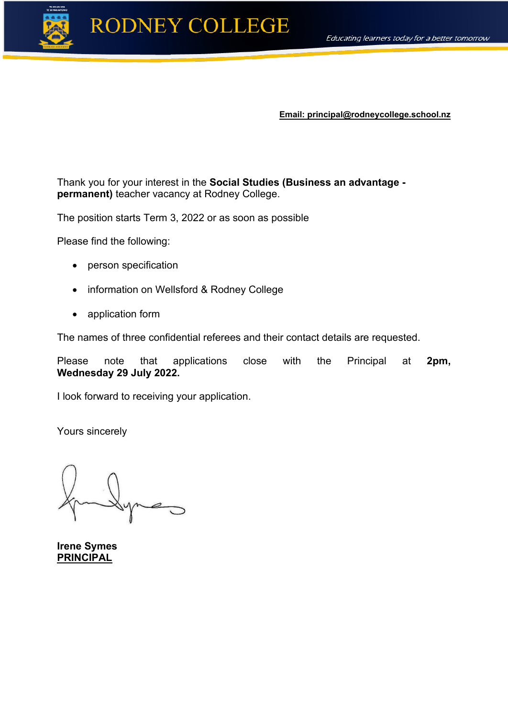

**Email: principal@rodneycollege.school.nz**

Thank you for your interest in the **Social Studies (Business an advantage permanent)** teacher vacancy at Rodney College.

The position starts Term 3, 2022 or as soon as possible

Please find the following:

- person specification
- information on Wellsford & Rodney College
- application form

The names of three confidential referees and their contact details are requested.

Please note that applications close with the Principal at **2pm, Wednesday 29 July 2022.** 

I look forward to receiving your application.

Yours sincerely

**Irene Symes PRINCIPAL**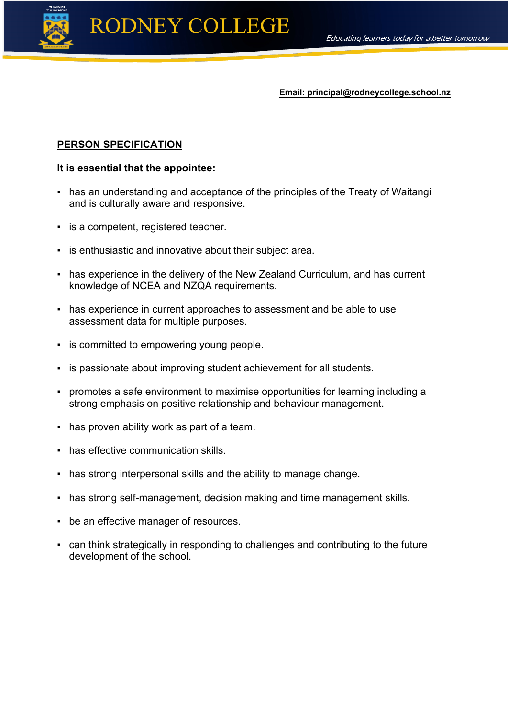

**Email: principal@rodneycollege.school.nz**

#### **PERSON SPECIFICATION**

#### **It is essential that the appointee:**

- has an understanding and acceptance of the principles of the Treaty of Waitangi and is culturally aware and responsive.
- is a competent, registered teacher.
- **Example 1** is enthusiastic and innovative about their subject area.
- has experience in the delivery of the New Zealand Curriculum, and has current knowledge of NCEA and NZQA requirements.
- has experience in current approaches to assessment and be able to use assessment data for multiple purposes.
- **•** is committed to empowering young people.
- **EXEDENT is passionate about improving student achievement for all students.**
- promotes a safe environment to maximise opportunities for learning including a strong emphasis on positive relationship and behaviour management.
- has proven ability work as part of a team.
- has effective communication skills.
- **has strong interpersonal skills and the ability to manage change.**
- has strong self-management, decision making and time management skills.
- be an effective manager of resources.
- can think strategically in responding to challenges and contributing to the future development of the school.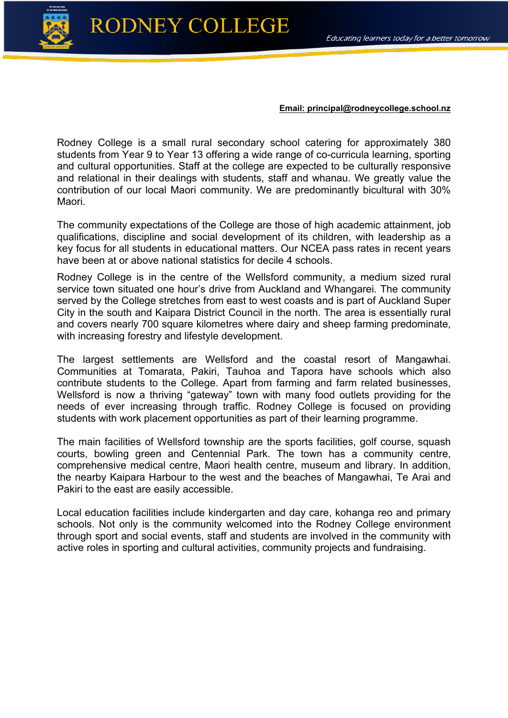

## **RODNEY COLLEGE**

#### **Email: principal@rodneycollege.school.nz**

Rodney College is a small rural secondary school catering for approximately 380 students from Year 9 to Year 13 offering a wide range of co-curricula learning, sporting and cultural opportunities. Staff at the college are expected to be culturally responsive and relational in their dealings with students, staff and whanau. We greatly value the contribution of our local Maori community. We are predominantly bicultural with 30% Maori.

The community expectations of the College are those of high academic attainment, job qualifications, discipline and social development of its children, with leadership as a key focus for all students in educational matters. Our NCEA pass rates in recent years have been at or above national statistics for decile 4 schools.

Rodney College is in the centre of the Wellsford community, a medium sized rural service town situated one hour's drive from Auckland and Whangarei. The community served by the College stretches from east to west coasts and is part of Auckland Super City in the south and Kaipara District Council in the north. The area is essentially rural and covers nearly 700 square kilometres where dairy and sheep farming predominate, with increasing forestry and lifestyle development.

The largest settlements are Wellsford and the coastal resort of Mangawhai. Communities at Tomarata, Pakiri, Tauhoa and Tapora have schools which also contribute students to the College. Apart from farming and farm related businesses, Wellsford is now a thriving "gateway" town with many food outlets providing for the needs of ever increasing through traffic. Rodney College is focused on providing students with work placement opportunities as part of their learning programme.

The main facilities of Wellsford township are the sports facilities, golf course, squash courts, bowling green and Centennial Park. The town has a community centre, comprehensive medical centre, Maori health centre, museum and library. In addition, the nearby Kaipara Harbour to the west and the beaches of Mangawhai, Te Arai and Pakiri to the east are easily accessible.

Local education facilities include kindergarten and day care, kohanga reo and primary schools. Not only is the community welcomed into the Rodney College environment through sport and social events, staff and students are involved in the community with active roles in sporting and cultural activities, community projects and fundraising.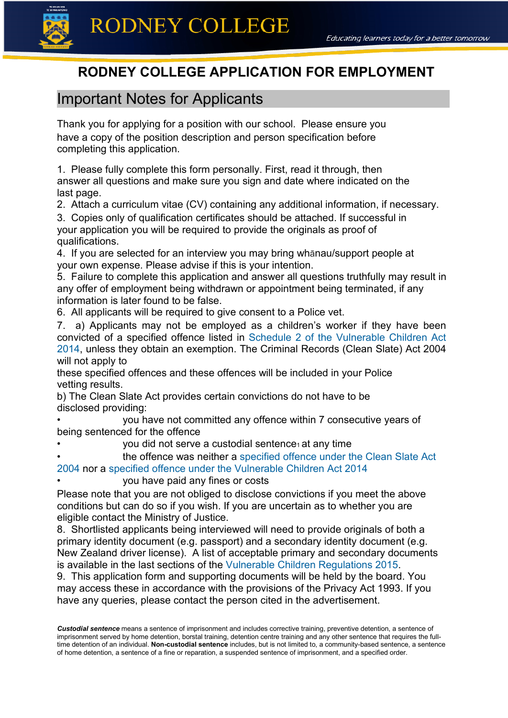

## **RODNEY COLLEGE APPLICATION FOR EMPLOYMENT**

## Important Notes for Applicants

Thank you for applying for a position with our school. Please ensure you have a copy of the position description and person specification before completing this application.

1. Please fully complete this form personally. First, read it through, then answer all questions and make sure you sign and date where indicated on the last page.

2. Attach a curriculum vitae (CV) containing any additional information, if necessary.

3. Copies only of qualification certificates should be attached. If successful in your application you will be required to provide the originals as proof of qualifications.

4. If you are selected for an interview you may bring whānau/support people at your own expense. Please advise if this is your intention.

5. Failure to complete this application and answer all questions truthfully may result in any offer of employment being withdrawn or appointment being terminated, if any information is later found to be false.

6. All applicants will be required to give consent to a Police vet.

7. a) Applicants may not be employed as a children's worker if they have been convicted of a specified offence listed in [Schedule 2 of the Vulnerable Children Act](http://www.legislation.govt.nz/act/public/2014/0040/latest/DLM5501909.html)  [2014,](http://www.legislation.govt.nz/act/public/2014/0040/latest/DLM5501909.html) unless they obtain an exemption. The Criminal Records (Clean Slate) Act 2004 will not apply to

these specified offences and these offences will be included in your Police vetting results.

b) The Clean Slate Act provides certain convictions do not have to be disclosed providing:

• you have not committed any offence within 7 consecutive years of being sentenced for the offence

you did not serve a custodial sentence<sub>1</sub> at any time

the offence was neither a specified offence under the Clean Slate Act [2004 n](http://www.legislation.govt.nz/act/public/2004/0036/latest/DLM280848.html)or a [specified offence under the Vulnerable Children Act 2014](http://www.legislation.govt.nz/act/public/2014/0040/latest/DLM5501909.html)

• you have paid any fines or costs

Please note that you are not obliged to disclose convictions if you meet the above conditions but can do so if you wish. If you are uncertain as to whether you are eligible contact the Ministry of Justice.

8. Shortlisted applicants being interviewed will need to provide originals of both a primary identity document (e.g. passport) and a secondary identity document (e.g. New Zealand driver license). A list of acceptable primary and secondary documents is available in the last sections of the [Vulnerable Children](http://www.legislation.govt.nz/regulation/public/2015/0106/latest/whole.html#DLM6482207) Regulations 2015.

9. This application form and supporting documents will be held by the board. You may access these in accordance with the provisions of the Privacy Act 1993. If you have any queries, please contact the person cited in the advertisement.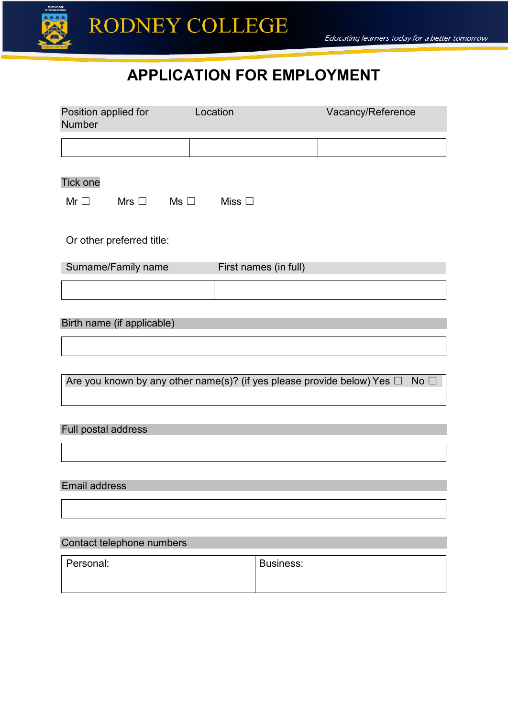

## **APPLICATION FOR EMPLOYMENT**

| Position applied for<br>Number                                                                  | Location              | Vacancy/Reference |  |
|-------------------------------------------------------------------------------------------------|-----------------------|-------------------|--|
|                                                                                                 |                       |                   |  |
| <b>Tick one</b>                                                                                 |                       |                   |  |
| Mr $\Box$<br>Mrs $\Box$<br>$\mathsf{Ms} \ \Box$                                                 | Miss $\square$        |                   |  |
| Or other preferred title:                                                                       |                       |                   |  |
| Surname/Family name                                                                             | First names (in full) |                   |  |
|                                                                                                 |                       |                   |  |
| Birth name (if applicable)                                                                      |                       |                   |  |
| Are you known by any other name(s)? (if yes please provide below) Yes $\Box$<br>No <sub>1</sub> |                       |                   |  |
| Full postal address                                                                             |                       |                   |  |

#### Email address

#### Contact telephone numbers

| Personal: | <b>Business:</b> |
|-----------|------------------|
|           |                  |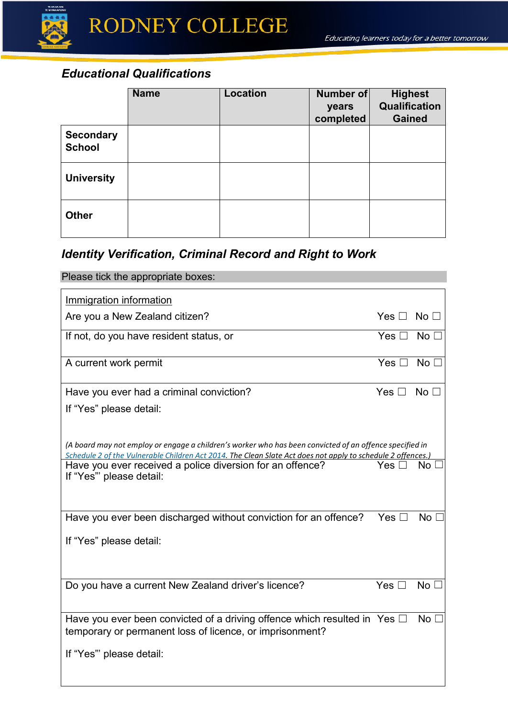

|                                   | <b>Name</b> | <b>Location</b> | <b>Number</b> of<br>years<br>completed | <b>Highest</b><br><b>Qualification</b><br><b>Gained</b> |
|-----------------------------------|-------------|-----------------|----------------------------------------|---------------------------------------------------------|
| <b>Secondary</b><br><b>School</b> |             |                 |                                        |                                                         |
| <b>University</b>                 |             |                 |                                        |                                                         |
| <b>Other</b>                      |             |                 |                                        |                                                         |

## *Identity Verification, Criminal Record and Right to Work*

| Please tick the appropriate boxes:                                                                                                                                                                  |                      |                 |
|-----------------------------------------------------------------------------------------------------------------------------------------------------------------------------------------------------|----------------------|-----------------|
| Immigration information                                                                                                                                                                             |                      |                 |
| Are you a New Zealand citizen?                                                                                                                                                                      | Yes $\Box$ No $\Box$ |                 |
| If not, do you have resident status, or                                                                                                                                                             | Yes $\Box$ No $\Box$ |                 |
| A current work permit                                                                                                                                                                               | Yes $\square$        | No $\Box$       |
| Have you ever had a criminal conviction?                                                                                                                                                            | Yes $\square$        | No <sub>1</sub> |
| If "Yes" please detail:                                                                                                                                                                             |                      |                 |
| (A board may not employ or engage a children's worker who has been convicted of an offence specified in                                                                                             |                      |                 |
| Schedule 2 of the Vulnerable Children Act 2014. The Clean Slate Act does not apply to schedule 2 offences.)<br>Have you ever received a police diversion for an offence?<br>If "Yes" please detail: | Yes $\square$        | No [            |
| Have you ever been discharged without conviction for an offence?                                                                                                                                    | Yes $\square$        | No <sub>1</sub> |
| If "Yes" please detail:                                                                                                                                                                             |                      |                 |
| Do you have a current New Zealand driver's licence?                                                                                                                                                 | Yes $\square$        | No <sub>1</sub> |
| Have you ever been convicted of a driving offence which resulted in Yes $\Box$<br>temporary or permanent loss of licence, or imprisonment?                                                          |                      | No <sub>1</sub> |
| If "Yes" please detail:                                                                                                                                                                             |                      |                 |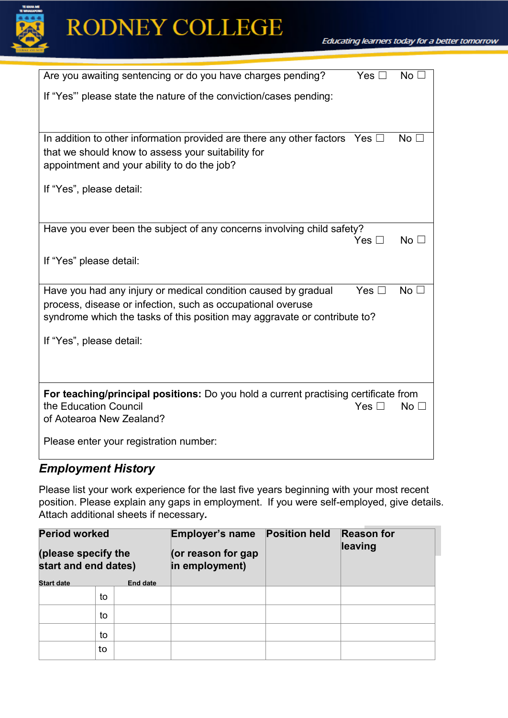

## RODNEY COLLEGE

| Are you awaiting sentencing or do you have charges pending?                                                                                                                                                | Yes $\square$ | No <sub>1</sub> |
|------------------------------------------------------------------------------------------------------------------------------------------------------------------------------------------------------------|---------------|-----------------|
| If "Yes" please state the nature of the conviction/cases pending:                                                                                                                                          |               |                 |
| In addition to other information provided are there any other factors Yes $\Box$<br>that we should know to assess your suitability for<br>appointment and your ability to do the job?                      |               | No <sub>1</sub> |
| If "Yes", please detail:                                                                                                                                                                                   |               |                 |
| Have you ever been the subject of any concerns involving child safety?                                                                                                                                     | Yes $\Box$    | No $\square$    |
| If "Yes" please detail:                                                                                                                                                                                    |               |                 |
| Have you had any injury or medical condition caused by gradual<br>process, disease or infection, such as occupational overuse<br>syndrome which the tasks of this position may aggravate or contribute to? | Yes $\square$ | No [            |
| If "Yes", please detail:                                                                                                                                                                                   |               |                 |
| For teaching/principal positions: Do you hold a current practising certificate from<br>the Education Council<br>of Aotearoa New Zealand?                                                                   | Yes $\Box$    | No <sub>1</sub> |
| Please enter your registration number:                                                                                                                                                                     |               |                 |

### *Employment History*

Please list your work experience for the last five years beginning with your most recent position. Please explain any gaps in employment. If you were self-employed, give details. Attach additional sheets if necessary*.*

| <b>Period worked</b><br>(please specify the |    | Employer's name<br>(or reason for gap | <b>Position held</b> | <b>Reason for</b><br>leaving |  |
|---------------------------------------------|----|---------------------------------------|----------------------|------------------------------|--|
| start and end dates)                        |    | in employment)                        |                      |                              |  |
| <b>Start date</b>                           |    | <b>End date</b>                       |                      |                              |  |
|                                             | to |                                       |                      |                              |  |
|                                             | to |                                       |                      |                              |  |
|                                             | to |                                       |                      |                              |  |
|                                             | to |                                       |                      |                              |  |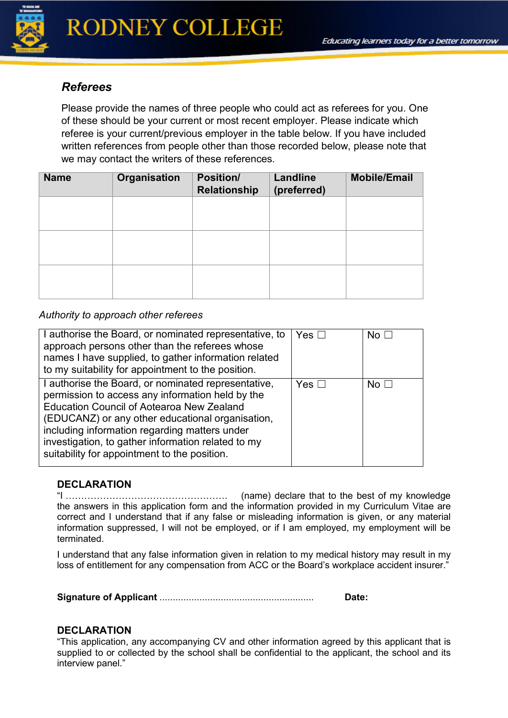

#### *Referees*

Please provide the names of three people who could act as referees for you. One of these should be your current or most recent employer. Please indicate which referee is your current/previous employer in the table below. If you have included written references from people other than those recorded below, please note that we may contact the writers of these references.

| <b>Name</b> | <b>Organisation</b> | <b>Position/</b><br><b>Relationship</b> | <b>Landline</b><br>(preferred) | <b>Mobile/Email</b> |
|-------------|---------------------|-----------------------------------------|--------------------------------|---------------------|
|             |                     |                                         |                                |                     |
|             |                     |                                         |                                |                     |
|             |                     |                                         |                                |                     |
|             |                     |                                         |                                |                     |
|             |                     |                                         |                                |                     |

#### *Authority to approach other referees*

| I authorise the Board, or nominated representative, to<br>approach persons other than the referees whose<br>names I have supplied, to gather information related<br>to my suitability for appointment to the position.                                                                                                                                                 | Yes $\square$ | No $\Box$ |
|------------------------------------------------------------------------------------------------------------------------------------------------------------------------------------------------------------------------------------------------------------------------------------------------------------------------------------------------------------------------|---------------|-----------|
| I authorise the Board, or nominated representative,<br>permission to access any information held by the<br><b>Education Council of Aotearoa New Zealand</b><br>(EDUCANZ) or any other educational organisation,<br>including information regarding matters under<br>investigation, to gather information related to my<br>suitability for appointment to the position. | Yes $\square$ | No $\Box$ |

#### **DECLARATION**

"I ……………………………………………. (name) declare that to the best of my knowledge the answers in this application form and the information provided in my Curriculum Vitae are correct and I understand that if any false or misleading information is given, or any material information suppressed, I will not be employed, or if I am employed, my employment will be terminated.

I understand that any false information given in relation to my medical history may result in my loss of entitlement for any compensation from ACC or the Board's workplace accident insurer."

**Signature of Applicant** .......................................................... **Date:** 

#### **DECLARATION**

"This application, any accompanying CV and other information agreed by this applicant that is supplied to or collected by the school shall be confidential to the applicant, the school and its interview panel."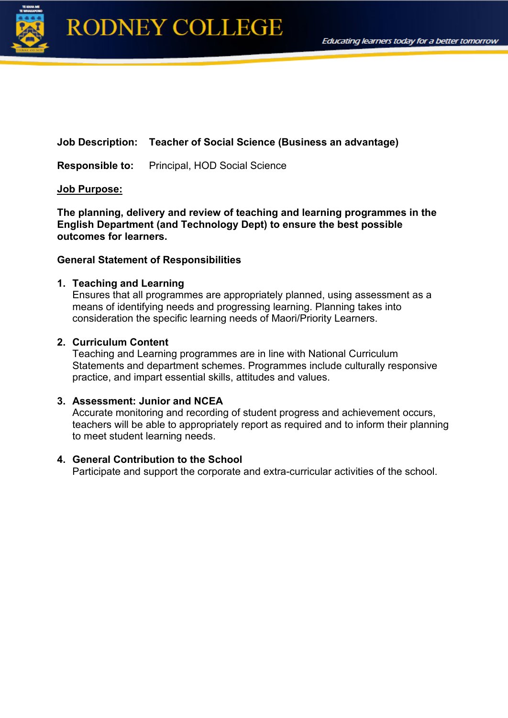

#### **Job Description: Teacher of Social Science (Business an advantage)**

**Responsible to:** Principal, HOD Social Science

#### **Job Purpose:**

**The planning, delivery and review of teaching and learning programmes in the English Department (and Technology Dept) to ensure the best possible outcomes for learners.**

#### **General Statement of Responsibilities**

#### **1. Teaching and Learning**

Ensures that all programmes are appropriately planned, using assessment as a means of identifying needs and progressing learning. Planning takes into consideration the specific learning needs of Maori/Priority Learners.

#### **2. Curriculum Content**

Teaching and Learning programmes are in line with National Curriculum Statements and department schemes. Programmes include culturally responsive practice, and impart essential skills, attitudes and values.

#### **3. Assessment: Junior and NCEA**

Accurate monitoring and recording of student progress and achievement occurs, teachers will be able to appropriately report as required and to inform their planning to meet student learning needs.

#### **4. General Contribution to the School**

Participate and support the corporate and extra-curricular activities of the school.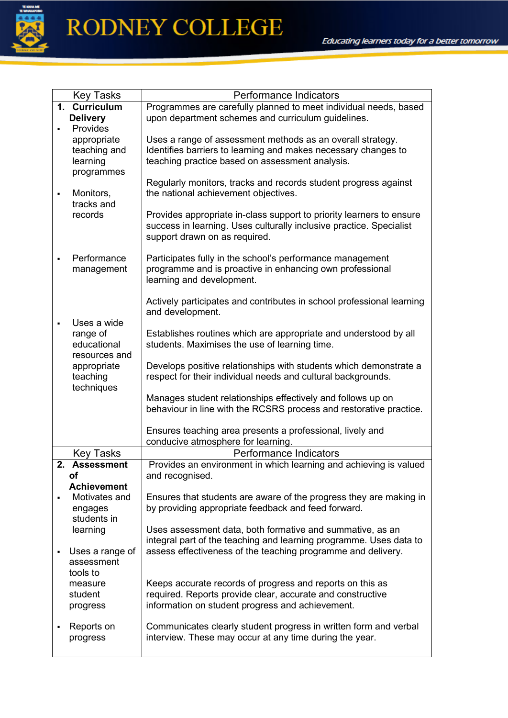

# RODNEY COLLEGE

|   | <b>Key Tasks</b>             | Performance Indicators                                                                                                                      |
|---|------------------------------|---------------------------------------------------------------------------------------------------------------------------------------------|
|   | 1. Curriculum                | Programmes are carefully planned to meet individual needs, based                                                                            |
|   | <b>Delivery</b>              | upon department schemes and curriculum guidelines.                                                                                          |
|   | Provides                     |                                                                                                                                             |
|   | appropriate                  | Uses a range of assessment methods as an overall strategy.                                                                                  |
|   | teaching and                 | Identifies barriers to learning and makes necessary changes to                                                                              |
|   | learning                     | teaching practice based on assessment analysis.                                                                                             |
|   | programmes                   |                                                                                                                                             |
|   |                              | Regularly monitors, tracks and records student progress against                                                                             |
| ٠ | Monitors,                    | the national achievement objectives.                                                                                                        |
|   | tracks and<br>records        |                                                                                                                                             |
|   |                              | Provides appropriate in-class support to priority learners to ensure<br>success in learning. Uses culturally inclusive practice. Specialist |
|   |                              | support drawn on as required.                                                                                                               |
|   |                              |                                                                                                                                             |
|   | Performance                  | Participates fully in the school's performance management                                                                                   |
|   | management                   | programme and is proactive in enhancing own professional                                                                                    |
|   |                              | learning and development.                                                                                                                   |
|   |                              |                                                                                                                                             |
|   |                              | Actively participates and contributes in school professional learning                                                                       |
|   |                              | and development.                                                                                                                            |
|   | Uses a wide                  |                                                                                                                                             |
|   | range of                     | Establishes routines which are appropriate and understood by all                                                                            |
|   | educational<br>resources and | students. Maximises the use of learning time.                                                                                               |
|   | appropriate                  | Develops positive relationships with students which demonstrate a                                                                           |
|   | teaching                     | respect for their individual needs and cultural backgrounds.                                                                                |
|   | techniques                   |                                                                                                                                             |
|   |                              | Manages student relationships effectively and follows up on                                                                                 |
|   |                              | behaviour in line with the RCSRS process and restorative practice.                                                                          |
|   |                              |                                                                                                                                             |
|   |                              | Ensures teaching area presents a professional, lively and                                                                                   |
|   |                              | conducive atmosphere for learning.                                                                                                          |
|   | <b>Key Tasks</b>             | Performance Indicators                                                                                                                      |
|   | 2. Assessment                | Provides an environment in which learning and achieving is valued                                                                           |
|   | Οf<br><b>Achievement</b>     | and recognised.                                                                                                                             |
|   | Motivates and                | Ensures that students are aware of the progress they are making in                                                                          |
|   | engages                      | by providing appropriate feedback and feed forward.                                                                                         |
|   | students in                  |                                                                                                                                             |
|   | learning                     | Uses assessment data, both formative and summative, as an                                                                                   |
|   |                              | integral part of the teaching and learning programme. Uses data to                                                                          |
|   | Uses a range of              | assess effectiveness of the teaching programme and delivery.                                                                                |
|   | assessment                   |                                                                                                                                             |
|   | tools to                     |                                                                                                                                             |
|   | measure                      | Keeps accurate records of progress and reports on this as                                                                                   |
|   | student                      | required. Reports provide clear, accurate and constructive                                                                                  |
|   | progress                     | information on student progress and achievement.                                                                                            |
|   |                              |                                                                                                                                             |
|   | Reports on                   | Communicates clearly student progress in written form and verbal<br>interview. These may occur at any time during the year.                 |
|   | progress                     |                                                                                                                                             |
|   |                              |                                                                                                                                             |